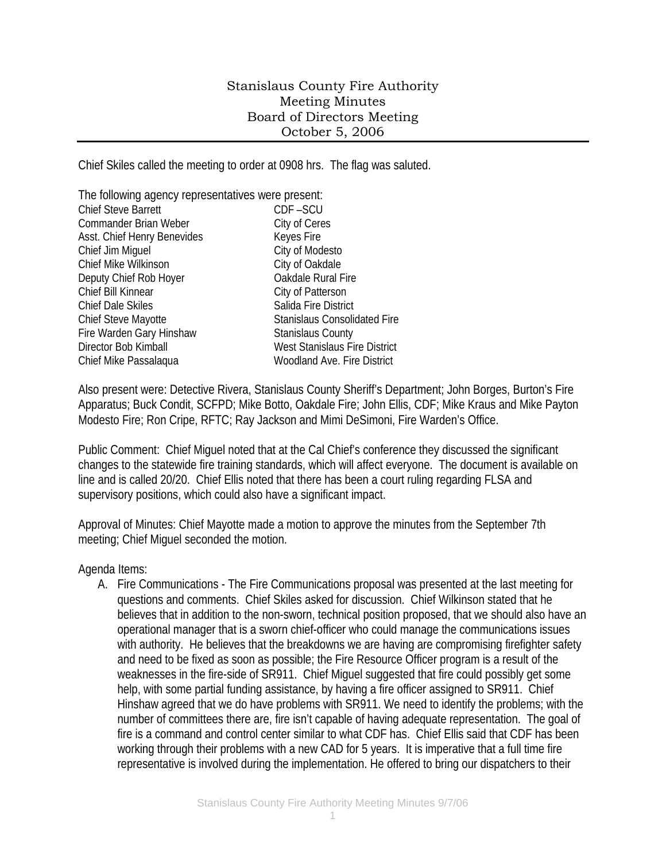## Stanislaus County Fire Authority Meeting Minutes Board of Directors Meeting October 5, 2006

Chief Skiles called the meeting to order at 0908 hrs. The flag was saluted.

| The following agency representatives were present: |                                     |
|----------------------------------------------------|-------------------------------------|
| <b>Chief Steve Barrett</b>                         | CDF-SCU                             |
| <b>Commander Brian Weber</b>                       | City of Ceres                       |
| Asst. Chief Henry Benevides                        | Keyes Fire                          |
| Chief Jim Miguel                                   | City of Modesto                     |
| Chief Mike Wilkinson                               | City of Oakdale                     |
| Deputy Chief Rob Hoyer                             | Oakdale Rural Fire                  |
| Chief Bill Kinnear                                 | City of Patterson                   |
| <b>Chief Dale Skiles</b>                           | Salida Fire District                |
| Chief Steve Mayotte                                | <b>Stanislaus Consolidated Fire</b> |
| Fire Warden Gary Hinshaw                           | <b>Stanislaus County</b>            |
| Director Bob Kimball                               | West Stanislaus Fire District       |
| Chief Mike Passalaqua                              | <b>Woodland Ave. Fire District</b>  |

Also present were: Detective Rivera, Stanislaus County Sheriff's Department; John Borges, Burton's Fire Apparatus; Buck Condit, SCFPD; Mike Botto, Oakdale Fire; John Ellis, CDF; Mike Kraus and Mike Payton Modesto Fire; Ron Cripe, RFTC; Ray Jackson and Mimi DeSimoni, Fire Warden's Office.

Public Comment: Chief Miguel noted that at the Cal Chief's conference they discussed the significant changes to the statewide fire training standards, which will affect everyone. The document is available on line and is called 20/20. Chief Ellis noted that there has been a court ruling regarding FLSA and supervisory positions, which could also have a significant impact.

Approval of Minutes: Chief Mayotte made a motion to approve the minutes from the September 7th meeting; Chief Miguel seconded the motion.

Agenda Items:

A. Fire Communications - The Fire Communications proposal was presented at the last meeting for questions and comments. Chief Skiles asked for discussion. Chief Wilkinson stated that he believes that in addition to the non-sworn, technical position proposed, that we should also have an operational manager that is a sworn chief-officer who could manage the communications issues with authority. He believes that the breakdowns we are having are compromising firefighter safety and need to be fixed as soon as possible; the Fire Resource Officer program is a result of the weaknesses in the fire-side of SR911. Chief Miguel suggested that fire could possibly get some help, with some partial funding assistance, by having a fire officer assigned to SR911. Chief Hinshaw agreed that we do have problems with SR911. We need to identify the problems; with the number of committees there are, fire isn't capable of having adequate representation. The goal of fire is a command and control center similar to what CDF has. Chief Ellis said that CDF has been working through their problems with a new CAD for 5 years. It is imperative that a full time fire representative is involved during the implementation. He offered to bring our dispatchers to their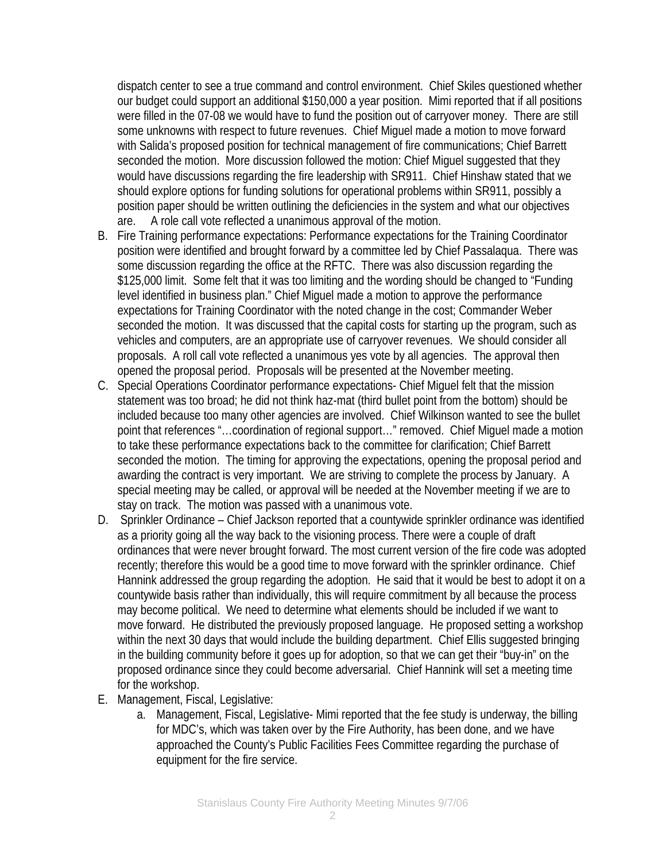dispatch center to see a true command and control environment. Chief Skiles questioned whether our budget could support an additional \$150,000 a year position. Mimi reported that if all positions were filled in the 07-08 we would have to fund the position out of carryover money. There are still some unknowns with respect to future revenues. Chief Miguel made a motion to move forward with Salida's proposed position for technical management of fire communications; Chief Barrett seconded the motion. More discussion followed the motion: Chief Miguel suggested that they would have discussions regarding the fire leadership with SR911. Chief Hinshaw stated that we should explore options for funding solutions for operational problems within SR911, possibly a position paper should be written outlining the deficiencies in the system and what our objectives are. A role call vote reflected a unanimous approval of the motion.

- B. Fire Training performance expectations: Performance expectations for the Training Coordinator position were identified and brought forward by a committee led by Chief Passalaqua. There was some discussion regarding the office at the RFTC. There was also discussion regarding the \$125,000 limit. Some felt that it was too limiting and the wording should be changed to "Funding level identified in business plan." Chief Miguel made a motion to approve the performance expectations for Training Coordinator with the noted change in the cost; Commander Weber seconded the motion. It was discussed that the capital costs for starting up the program, such as vehicles and computers, are an appropriate use of carryover revenues. We should consider all proposals. A roll call vote reflected a unanimous yes vote by all agencies. The approval then opened the proposal period. Proposals will be presented at the November meeting.
- C. Special Operations Coordinator performance expectations- Chief Miguel felt that the mission statement was too broad; he did not think haz-mat (third bullet point from the bottom) should be included because too many other agencies are involved. Chief Wilkinson wanted to see the bullet point that references "…coordination of regional support…" removed. Chief Miguel made a motion to take these performance expectations back to the committee for clarification; Chief Barrett seconded the motion. The timing for approving the expectations, opening the proposal period and awarding the contract is very important. We are striving to complete the process by January. A special meeting may be called, or approval will be needed at the November meeting if we are to stay on track. The motion was passed with a unanimous vote.
- D. Sprinkler Ordinance Chief Jackson reported that a countywide sprinkler ordinance was identified as a priority going all the way back to the visioning process. There were a couple of draft ordinances that were never brought forward. The most current version of the fire code was adopted recently; therefore this would be a good time to move forward with the sprinkler ordinance. Chief Hannink addressed the group regarding the adoption. He said that it would be best to adopt it on a countywide basis rather than individually, this will require commitment by all because the process may become political. We need to determine what elements should be included if we want to move forward. He distributed the previously proposed language. He proposed setting a workshop within the next 30 days that would include the building department. Chief Ellis suggested bringing in the building community before it goes up for adoption, so that we can get their "buy-in" on the proposed ordinance since they could become adversarial. Chief Hannink will set a meeting time for the workshop.
- E. Management, Fiscal, Legislative:
	- a. Management, Fiscal, Legislative- Mimi reported that the fee study is underway, the billing for MDC's, which was taken over by the Fire Authority, has been done, and we have approached the County's Public Facilities Fees Committee regarding the purchase of equipment for the fire service.